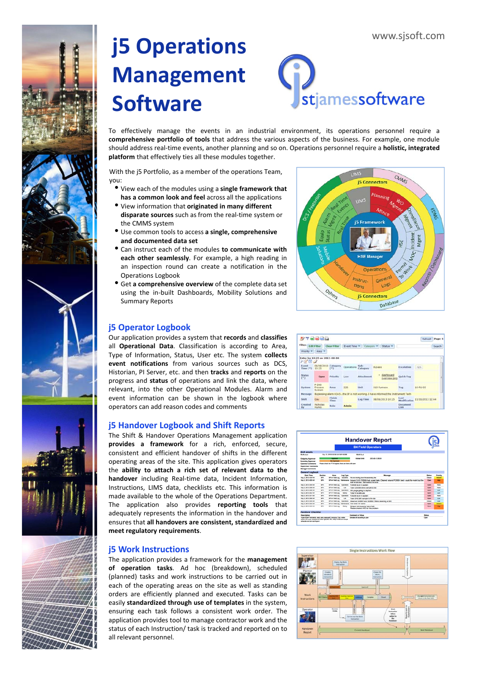# **j5 Operations Management Software**



To effectively manage the events in an industrial environment, its operations personnel require a **comprehensive portfolio of tools** that address the various aspects of the business. For example, one module should address real‐time events, another planning and so on. Operations personnel require a **holistic, integrated platform** that effectively ties all these modules together.

With the j5 Portfolio, as a member of the operations Team, you:

- View each of the modules using <sup>a</sup> **single framework that has a common look and feel** across all the applications
- View information that **originated in many different disparate sources** such as from the real‐time system or the CMMS system
- Use common tools to access **<sup>a</sup> single, comprehensive and documented data set**
- Can instruct each of the modules **to communicate with each other seamlessly**. For example, a high reading in an inspection round can create a notification in the Operations Logbook
- Get **a comprehensive overview** of the complete data set using the in‐built Dashboards, Mobility Solutions and Summary Reports

## **j5 Operator Logbook**

**j5 Work Instructions**

all relevant personnel.

Our application provides a system that **records** and **classifies** all **Operational Data**. Classification is according to Area, Type of Information, Status, User etc. The system **collects event notifications** from various sources such as DCS, Historian, PI Server, etc. and then **tracks** and **reports** on the progress and **status** of operations and link the data, where relevant, into the other Operational Modules. Alarm and event information can be shown in the logbook where operators can add reason codes and comments

## **j5 Handover Logbook and Shift Reports**

The Shift & Handover Operations Management application **provides a framework** for a rich, enforced, secure, consistent and efficient handover of shifts in the different operating areas of the site. This application gives operators the **ability to attach a rich set of relevant data to the handover** including Real‐time data, Incident Information, Instructions, LIMS data, checklists etc. This information is made available to the whole of the Operations Department. The application also provides **reporting tools** that adequately represents the information in the handover and ensures that **all handovers are consistent, standardized and meet regulatory requirements**.

The application provides a framework for the **management of operation tasks**. Ad hoc (breakdown), scheduled (planned) tasks and work instructions to be carried out in each of the operating areas on the site as well as standing orders are efficiently planned and executed. Tasks can be easily **standardized through use of templates** in the system, ensuring each task follows a consistent work order. The application provides tool to manage contractor work and the status of each Instruction/ task is tracked and reported on to

**i5 Connector** 

27日最高品

Databas

**15 Connector** 

5 Fran

|                                                                                                                                                                 | <b>Handover Report</b><br><b>B4 Field Operators</b> |                                                        |                  |                                                                                                                                         |                |                  |
|-----------------------------------------------------------------------------------------------------------------------------------------------------------------|-----------------------------------------------------|--------------------------------------------------------|------------------|-----------------------------------------------------------------------------------------------------------------------------------------|----------------|------------------|
|                                                                                                                                                                 |                                                     |                                                        |                  |                                                                                                                                         |                |                  |
| <b>Shift databs</b>                                                                                                                                             |                                                     |                                                        |                  |                                                                                                                                         |                |                  |
| <b>Shift start</b>                                                                                                                                              | May 12, 2013 6:52:36 AM GAIT-82:00                  |                                                        |                  | <b>Shift End</b>                                                                                                                        |                |                  |
| <b>Culgaing Approver</b>                                                                                                                                        |                                                     | <b>Andrew College</b>                                  |                  | <b><i>Michael Smith</i></b><br>2013-06-12 09:39                                                                                         |                |                  |
| <b>Incoming Approver</b>                                                                                                                                        |                                                     | <b>Sat American</b>                                    |                  |                                                                                                                                         |                |                  |
| <b>Country Comments</b><br><b>Supervisor Comments</b><br><b>Manager Comments</b>                                                                                |                                                     | Please check the PTW register, there are here all open |                  |                                                                                                                                         |                |                  |
| <b>General Logbook</b>                                                                                                                                          |                                                     |                                                        |                  |                                                                                                                                         |                |                  |
| <b>Start Time</b>                                                                                                                                               | <b>Gentlem</b>                                      | Acres                                                  | <b>Log Type</b>  | <b>Maria Avenue</b>                                                                                                                     | <b>Bookley</b> | Prizetty         |
| May 4, 2013 a 30 PM                                                                                                                                             | sen.                                                | <b>BPAJE FIRST LINE</b>                                | <b>Grantina</b>  | the are shutting down the secondary fine                                                                                                | <b>Group</b>   | <b>Martins</b>   |
| <b>May 8, 2013 4:30 AM</b>                                                                                                                                      | <b>SPA</b>                                          | <b>BPAJE FINELLINE</b>                                 |                  | Memmeree Around 5:45 P20506 had a seal leak. Cleaned around P20504 best I could for maint but the<br>leak is loo had. Rackaded the area | Chees          | <b>Hut</b>       |
| <b>May 8, 2013 3:59 AM</b>                                                                                                                                      | <b>MY</b>                                           | <b>BPAA Fell Ltd.</b>                                  | Contabine        | FODER is no A surface.                                                                                                                  | Close          | <b>None</b>      |
| <b>May 8, 2013 ESE AN</b>                                                                                                                                       | <b>Advertising</b>                                  | <b>BPAJE FIRST LIST</b>                                | <b>Sale</b>      | Took CJ0300 trans sample to lab                                                                                                         | <b>Grant</b>   | <b>None</b>      |
| <b>May 8, 2013 338 AM</b>                                                                                                                                       | <b>SPA</b>                                          | <b>BRAKE FINALLINE</b>                                 | Conrations       | Mf, purps going to dephan.                                                                                                              | Close:         | Lew-             |
| <b>May 8, 2013 3:52 AM</b>                                                                                                                                      | <b>MA</b>                                           | <b>BPA-4 Feld Log</b>                                  | <b>Subdivis</b>  | POSS 10 in will Lots                                                                                                                    | Close 1        | Lew              |
| <b>May 8, 2013 3:51 AM</b>                                                                                                                                      | <b>MA</b>                                           | <b>BPAA Feld Log</b>                                   | Concidents       | POSSOB is on A sucker.                                                                                                                  | Close 1        | <b>None</b>      |
| <b>May 8, 2013 548 AM</b>                                                                                                                                       | <b>MA</b>                                           | <b>BPAJE Field Log</b>                                 | ta.              | Took DHC S/D sample to the lab                                                                                                          | <b>Cloud</b>   | Line             |
| <b>May 8, 2013 E-20 AM</b>                                                                                                                                      | <b>Advertising</b>                                  | <b>BPAJE FIRST LINE</b>                                | <b>Countines</b> | Steamed \$20001 and \$20002 Filters steaming at S/C                                                                                     | Grand          | <b>Lew</b>       |
| <b>May 8, 2013 3:33 AM</b>                                                                                                                                      | m-                                                  | <b>BPA-4 Padd Los</b>                                  |                  | <b>Mantenance Work Order 457 started</b>                                                                                                | Close:         | <b>March 200</b> |
| <b>May 8. 2013 FOR ANY</b>                                                                                                                                      | <b>APA</b>                                          | <b>BPALE FIRST LINE</b>                                | <b>Sales</b>     | Stripper bitms pump has a leak.<br>Please create a WO for this problem.                                                                 | <b>Clean</b>   | <b>Hart</b>      |
| <b>Handover Checklist</b>                                                                                                                                       |                                                     |                                                        |                  |                                                                                                                                         |                |                  |
| <b>Description</b>                                                                                                                                              |                                                     |                                                        |                  | <b>Comment or Value</b>                                                                                                                 | <b>Status</b>  |                  |
| races share brochurate and same summer? brocker This while-<br>scarer creared background.com cost/66, 265, 2052*/ Februari sanche<br>schedule and ran teambower |                                                     |                                                        |                  | Samples all according to date                                                                                                           | Cheese,        |                  |